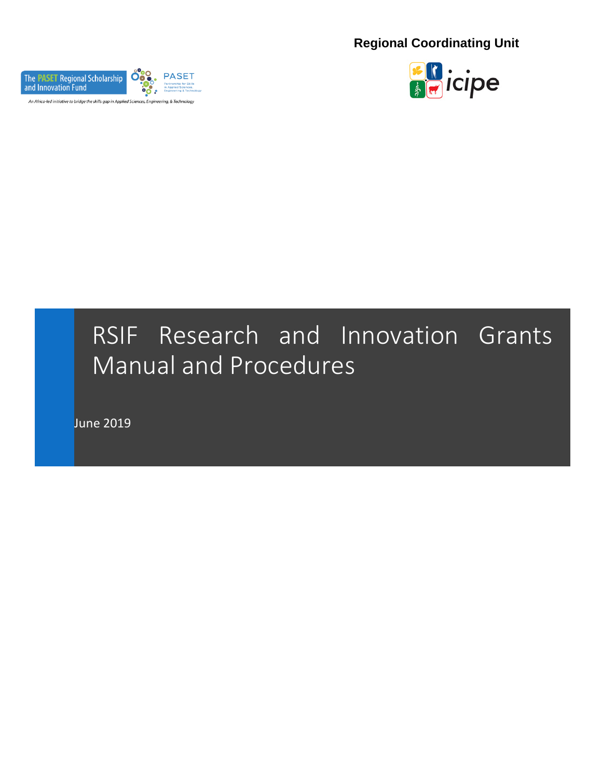**Regional Coordinating Unit**





# RSIF Research and Innovation Grants Manual and Procedures

June 2019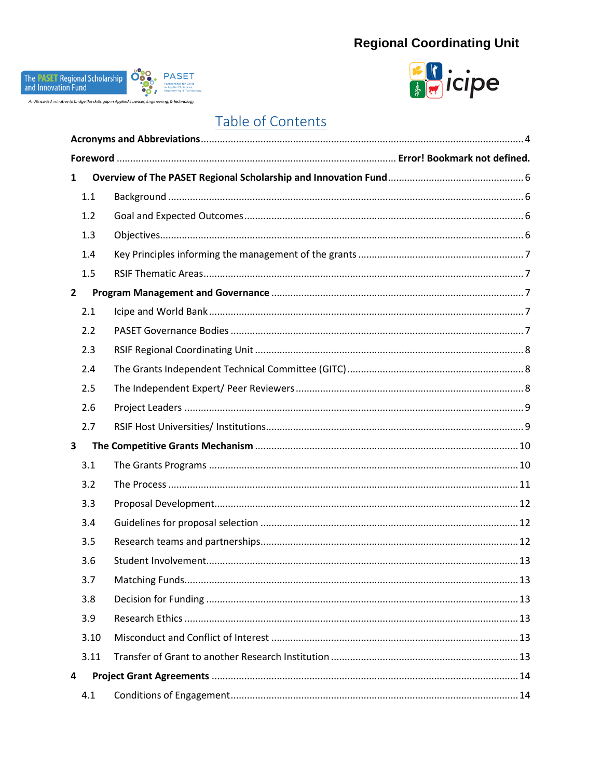# **Regional Coordinating Unit**





# Table of Contents

| $\mathbf{1}$   |  |  |
|----------------|--|--|
| 1.1            |  |  |
| 1.2            |  |  |
| 1.3            |  |  |
| 1.4            |  |  |
| 1.5            |  |  |
| $\overline{2}$ |  |  |
| 2.1            |  |  |
| 2.2            |  |  |
| 2.3            |  |  |
| 2.4            |  |  |
| 2.5            |  |  |
| 2.6            |  |  |
| 2.7            |  |  |
| 3              |  |  |
| 3.1            |  |  |
| 3.2            |  |  |
| 3.3            |  |  |
| 3.4            |  |  |
| 3.5            |  |  |
| 3.6            |  |  |
| 3.7            |  |  |
| 3.8            |  |  |
| 3.9            |  |  |
| 3.10           |  |  |
| 3.11           |  |  |
| 4              |  |  |
| 4.1            |  |  |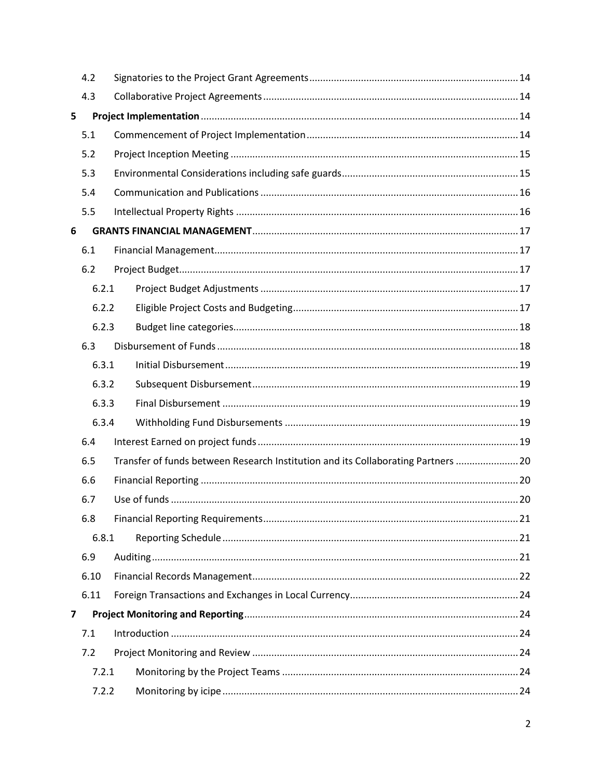|   | 4.2   |                                                                                   |  |
|---|-------|-----------------------------------------------------------------------------------|--|
|   | 4.3   |                                                                                   |  |
| 5 |       |                                                                                   |  |
|   | 5.1   |                                                                                   |  |
|   | 5.2   |                                                                                   |  |
|   | 5.3   |                                                                                   |  |
|   | 5.4   |                                                                                   |  |
|   | 5.5   |                                                                                   |  |
| 6 |       |                                                                                   |  |
|   | 6.1   |                                                                                   |  |
|   | 6.2   |                                                                                   |  |
|   | 6.2.1 |                                                                                   |  |
|   | 6.2.2 |                                                                                   |  |
|   | 6.2.3 |                                                                                   |  |
|   | 6.3   |                                                                                   |  |
|   | 6.3.1 |                                                                                   |  |
|   | 6.3.2 |                                                                                   |  |
|   | 6.3.3 |                                                                                   |  |
|   | 6.3.4 |                                                                                   |  |
|   | 6.4   |                                                                                   |  |
|   | 6.5   | Transfer of funds between Research Institution and its Collaborating Partners  20 |  |
|   | 6.6   |                                                                                   |  |
|   | 6.7   |                                                                                   |  |
|   | 6.8   |                                                                                   |  |
|   | 6.8.1 |                                                                                   |  |
|   | 6.9   |                                                                                   |  |
|   | 6.10  |                                                                                   |  |
|   | 6.11  |                                                                                   |  |
| 7 |       |                                                                                   |  |
|   | 7.1   |                                                                                   |  |
|   | 7.2   |                                                                                   |  |
|   | 7.2.1 |                                                                                   |  |
|   | 7.2.2 |                                                                                   |  |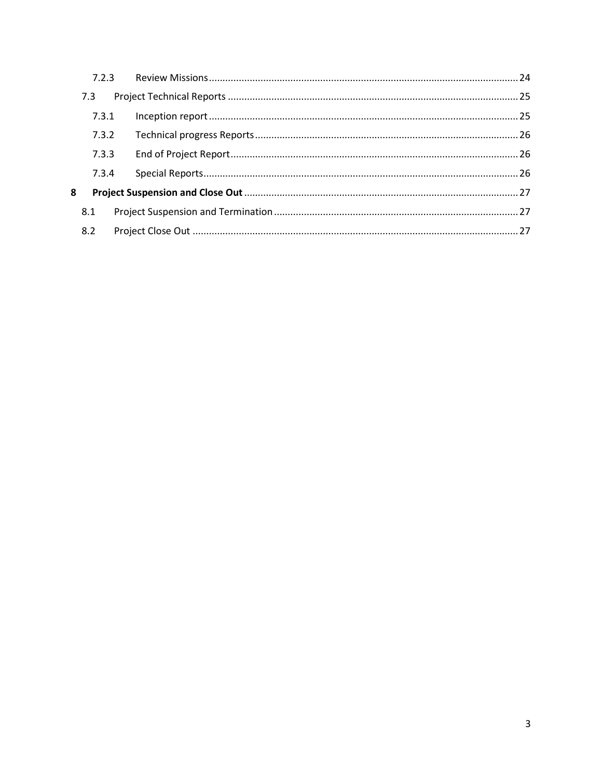|   | 7.3   |  |
|---|-------|--|
|   | 7.3.1 |  |
|   | 7.3.2 |  |
|   | 7.3.3 |  |
|   | 7.3.4 |  |
| 8 |       |  |
|   | 8.1   |  |
|   | 8.2   |  |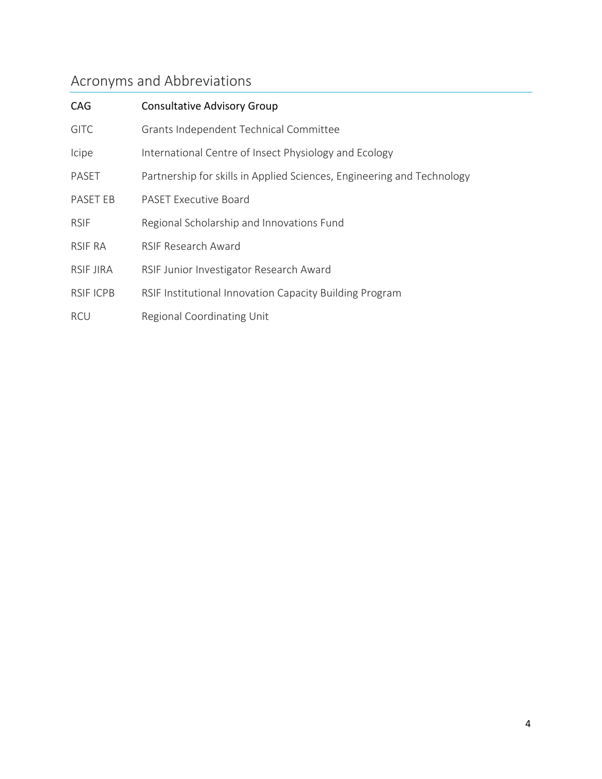# <span id="page-4-0"></span>Acronyms and Abbreviations

| CAG              | <b>Consultative Advisory Group</b>                                     |
|------------------|------------------------------------------------------------------------|
| <b>GITC</b>      | Grants Independent Technical Committee                                 |
| Icipe            | International Centre of Insect Physiology and Ecology                  |
| PASET            | Partnership for skills in Applied Sciences, Engineering and Technology |
| PASET EB         | <b>PASET Executive Board</b>                                           |
| <b>RSIF</b>      | Regional Scholarship and Innovations Fund                              |
| <b>RSIF RA</b>   | <b>RSIF Research Award</b>                                             |
| <b>RSIF JIRA</b> | RSIF Junior Investigator Research Award                                |
| <b>RSIF ICPB</b> | RSIF Institutional Innovation Capacity Building Program                |
| <b>RCU</b>       | Regional Coordinating Unit                                             |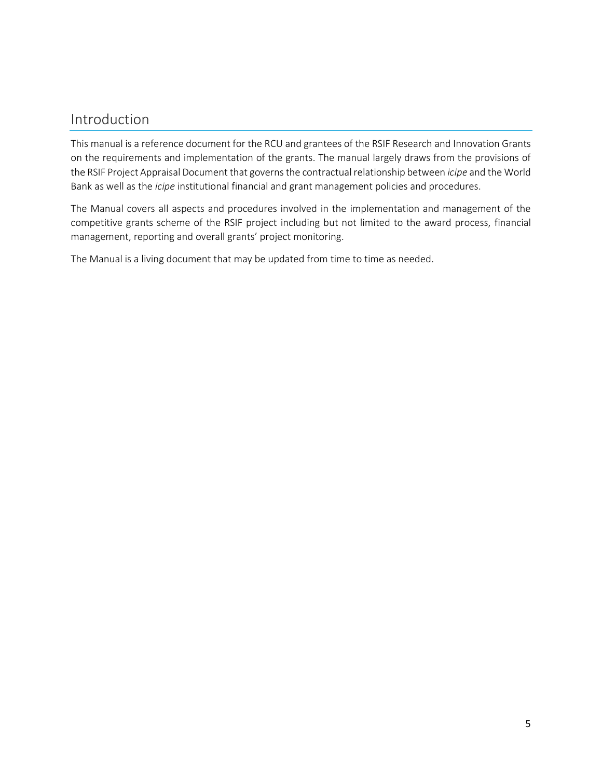# Introduction

This manual is a reference document for the RCU and grantees of the RSIF Research and Innovation Grants on the requirements and implementation of the grants. The manual largely draws from the provisions of the RSIF Project Appraisal Document that governs the contractual relationship between *icipe* and the World Bank as well as the *icipe* institutional financial and grant management policies and procedures.

The Manual covers all aspects and procedures involved in the implementation and management of the competitive grants scheme of the RSIF project including but not limited to the award process, financial management, reporting and overall grants' project monitoring.

The Manual is a living document that may be updated from time to time as needed.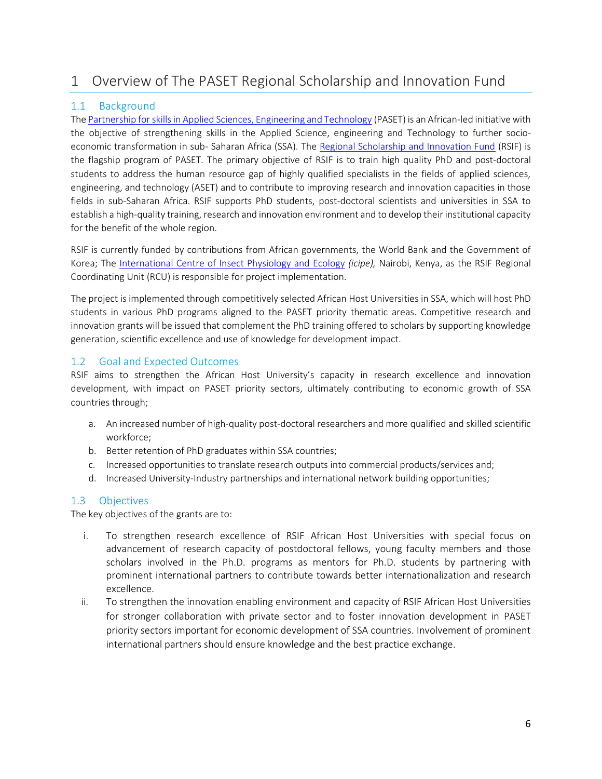# <span id="page-6-0"></span>1 Overview of The PASET Regional Scholarship and Innovation Fund

# <span id="page-6-1"></span>1.1 Background

Th[e Partnership for skills in Applied Sciences, Engineering and Technology](http://www.worldbank.org/en/programs/paset) (PASET) is an African-led initiative with the objective of strengthening skills in the Applied Science, engineering and Technology to further socioeconomic transformation in sub- Saharan Africa (SSA). The [Regional Scholarship and Innovation Fund](https://www.rsif-paset.org/) (RSIF) is the flagship program of PASET. The primary objective of RSIF is to train high quality PhD and post-doctoral students to address the human resource gap of highly qualified specialists in the fields of applied sciences, engineering, and technology (ASET) and to contribute to improving research and innovation capacities in those fields in sub-Saharan Africa. RSIF supports PhD students, post-doctoral scientists and universities in SSA to establish a high-quality training, research and innovation environment and to develop their institutional capacity for the benefit of the whole region.

RSIF is currently funded by contributions from African governments, the World Bank and the Government of Korea; The [International Centre of Insect Physiology and Ecology](http://www.icipe.org/) *(icipe),* Nairobi, Kenya, as the RSIF Regional Coordinating Unit (RCU) is responsible for project implementation.

The project is implemented through competitively selected African Host Universities in SSA, which will host PhD students in various PhD programs aligned to the PASET priority thematic areas. Competitive research and innovation grants will be issued that complement the PhD training offered to scholars by supporting knowledge generation, scientific excellence and use of knowledge for development impact.

# <span id="page-6-2"></span>1.2 Goal and Expected Outcomes

RSIF aims to strengthen the African Host University's capacity in research excellence and innovation development, with impact on PASET priority sectors, ultimately contributing to economic growth of SSA countries through;

- a. An increased number of high-quality post-doctoral researchers and more qualified and skilled scientific workforce;
- b. Better retention of PhD graduates within SSA countries;
- c. Increased opportunities to translate research outputs into commercial products/services and;
- d. Increased University-Industry partnerships and international network building opportunities;

# <span id="page-6-3"></span>1.3 Objectives

The key objectives of the grants are to:

- i. To strengthen research excellence of RSIF African Host Universities with special focus on advancement of research capacity of postdoctoral fellows, young faculty members and those scholars involved in the Ph.D. programs as mentors for Ph.D. students by partnering with prominent international partners to contribute towards better internationalization and research excellence.
- ii. To strengthen the innovation enabling environment and capacity of RSIF African Host Universities for stronger collaboration with private sector and to foster innovation development in PASET priority sectors important for economic development of SSA countries. Involvement of prominent international partners should ensure knowledge and the best practice exchange.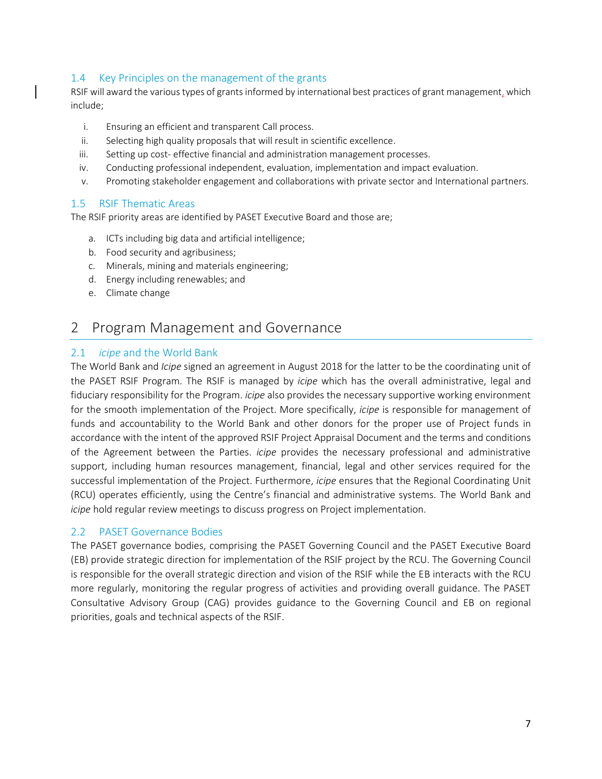# <span id="page-7-0"></span>1.4 Key Principles on the management of the grants

RSIF will award the various types of grants informed by international best practices of grant management, which include;

- i. Ensuring an efficient and transparent Call process.
- ii. Selecting high quality proposals that will result in scientific excellence.
- iii. Setting up cost- effective financial and administration management processes.
- iv. Conducting professional independent, evaluation, implementation and impact evaluation.
- v. Promoting stakeholder engagement and collaborations with private sector and International partners.

# <span id="page-7-1"></span>1.5 RSIF Thematic Areas

The RSIF priority areas are identified by PASET Executive Board and those are;

- a. ICTs including big data and artificial intelligence;
- b. Food security and agribusiness;
- c. Minerals, mining and materials engineering;
- d. Energy including renewables; and
- e. Climate change

# <span id="page-7-2"></span>2 Program Management and Governance

### <span id="page-7-3"></span>2.1 *icipe* and the World Bank

The World Bank and *Icipe* signed an agreement in August 2018 for the latter to be the coordinating unit of the PASET RSIF Program. The RSIF is managed by *icipe* which has the overall administrative, legal and fiduciary responsibility for the Program. *icipe* also provides the necessary supportive working environment for the smooth implementation of the Project. More specifically, *icipe* is responsible for management of funds and accountability to the World Bank and other donors for the proper use of Project funds in accordance with the intent of the approved RSIF Project Appraisal Document and the terms and conditions of the Agreement between the Parties. *icipe* provides the necessary professional and administrative support, including human resources management, financial, legal and other services required for the successful implementation of the Project. Furthermore, *icipe* ensures that the Regional Coordinating Unit (RCU) operates efficiently, using the Centre's financial and administrative systems. The World Bank and *icipe* hold regular review meetings to discuss progress on Project implementation.

### <span id="page-7-4"></span>2.2 PASET Governance Bodies

The PASET governance bodies, comprising the PASET Governing Council and the PASET Executive Board (EB) provide strategic direction for implementation of the RSIF project by the RCU. The Governing Council is responsible for the overall strategic direction and vision of the RSIF while the EB interacts with the RCU more regularly, monitoring the regular progress of activities and providing overall guidance. The PASET Consultative Advisory Group (CAG) provides guidance to the Governing Council and EB on regional priorities, goals and technical aspects of the RSIF.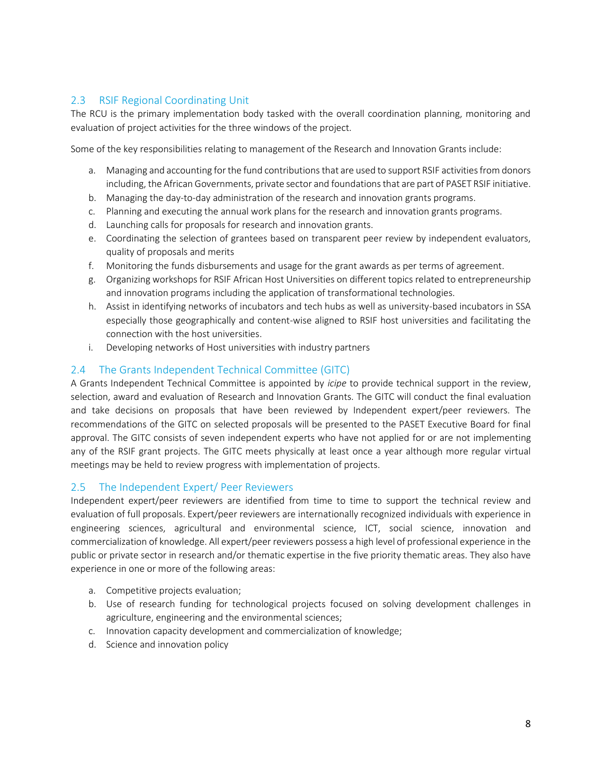# <span id="page-8-0"></span>2.3 RSIF Regional Coordinating Unit

The RCU is the primary implementation body tasked with the overall coordination planning, monitoring and evaluation of project activities for the three windows of the project.

Some of the key responsibilities relating to management of the Research and Innovation Grants include:

- a. Managing and accounting for the fund contributions that are used to support RSIF activities from donors including, the African Governments, private sector and foundations that are part of PASET RSIF initiative.
- b. Managing the day-to-day administration of the research and innovation grants programs.
- c. Planning and executing the annual work plans for the research and innovation grants programs.
- d. Launching calls for proposals for research and innovation grants.
- e. Coordinating the selection of grantees based on transparent peer review by independent evaluators, quality of proposals and merits
- f. Monitoring the funds disbursements and usage for the grant awards as per terms of agreement.
- g. Organizing workshops for RSIF African Host Universities on different topics related to entrepreneurship and innovation programs including the application of transformational technologies.
- h. Assist in identifying networks of incubators and tech hubs as well as university-based incubators in SSA especially those geographically and content-wise aligned to RSIF host universities and facilitating the connection with the host universities.
- i. Developing networks of Host universities with industry partners

# <span id="page-8-1"></span>2.4 The Grants Independent Technical Committee (GITC)

A Grants Independent Technical Committee is appointed by *icipe* to provide technical support in the review, selection, award and evaluation of Research and Innovation Grants. The GITC will conduct the final evaluation and take decisions on proposals that have been reviewed by Independent expert/peer reviewers. The recommendations of the GITC on selected proposals will be presented to the PASET Executive Board for final approval. The GITC consists of seven independent experts who have not applied for or are not implementing any of the RSIF grant projects. The GITC meets physically at least once a year although more regular virtual meetings may be held to review progress with implementation of projects.

### <span id="page-8-2"></span>2.5 The Independent Expert/ Peer Reviewers

Independent expert/peer reviewers are identified from time to time to support the technical review and evaluation of full proposals. Expert/peer reviewers are internationally recognized individuals with experience in engineering sciences, agricultural and environmental science, ICT, social science, innovation and commercialization of knowledge. All expert/peer reviewers possess a high level of professional experience in the public or private sector in research and/or thematic expertise in the five priority thematic areas. They also have experience in one or more of the following areas:

- a. Competitive projects evaluation;
- b. Use of research funding for technological projects focused on solving development challenges in agriculture, engineering and the environmental sciences;
- c. Innovation capacity development and commercialization of knowledge;
- d. Science and innovation policy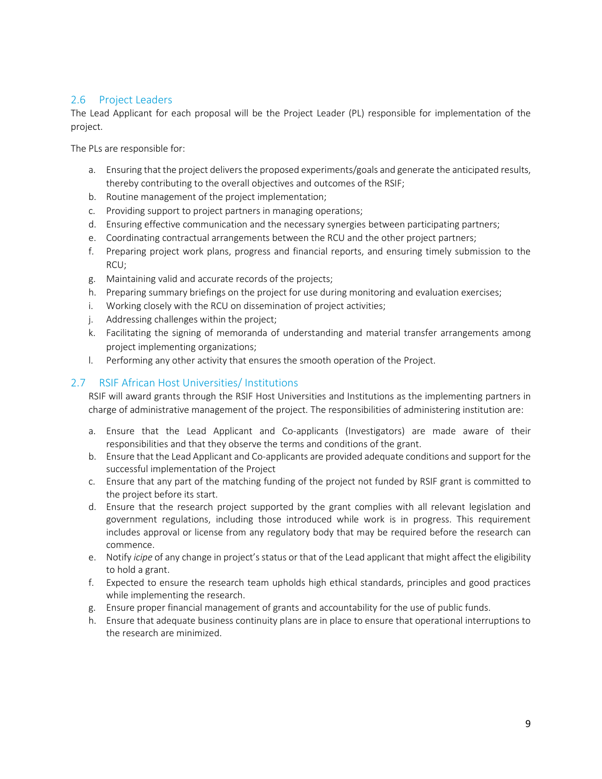# <span id="page-9-0"></span>2.6 Project Leaders

The Lead Applicant for each proposal will be the Project Leader (PL) responsible for implementation of the project.

The PLs are responsible for:

- a. Ensuring that the project delivers the proposed experiments/goals and generate the anticipated results, thereby contributing to the overall objectives and outcomes of the RSIF;
- b. Routine management of the project implementation;
- c. Providing support to project partners in managing operations;
- d. Ensuring effective communication and the necessary synergies between participating partners;
- e. Coordinating contractual arrangements between the RCU and the other project partners;
- f. Preparing project work plans, progress and financial reports, and ensuring timely submission to the RCU;
- g. Maintaining valid and accurate records of the projects;
- h. Preparing summary briefings on the project for use during monitoring and evaluation exercises;
- i. Working closely with the RCU on dissemination of project activities;
- j. Addressing challenges within the project;
- k. Facilitating the signing of memoranda of understanding and material transfer arrangements among project implementing organizations;
- l. Performing any other activity that ensures the smooth operation of the Project.

# <span id="page-9-1"></span>2.7 RSIF African Host Universities/ Institutions

RSIF will award grants through the RSIF Host Universities and Institutions as the implementing partners in charge of administrative management of the project. The responsibilities of administering institution are:

- a. Ensure that the Lead Applicant and Co-applicants (Investigators) are made aware of their responsibilities and that they observe the terms and conditions of the grant.
- b. Ensure that the Lead Applicant and Co-applicants are provided adequate conditions and support for the successful implementation of the Project
- c. Ensure that any part of the matching funding of the project not funded by RSIF grant is committed to the project before its start.
- d. Ensure that the research project supported by the grant complies with all relevant legislation and government regulations, including those introduced while work is in progress. This requirement includes approval or license from any regulatory body that may be required before the research can commence.
- e. Notify *icipe* of any change in project's status or that of the Lead applicant that might affect the eligibility to hold a grant.
- f. Expected to ensure the research team upholds high ethical standards, principles and good practices while implementing the research.
- g. Ensure proper financial management of grants and accountability for the use of public funds.
- h. Ensure that adequate business continuity plans are in place to ensure that operational interruptions to the research are minimized.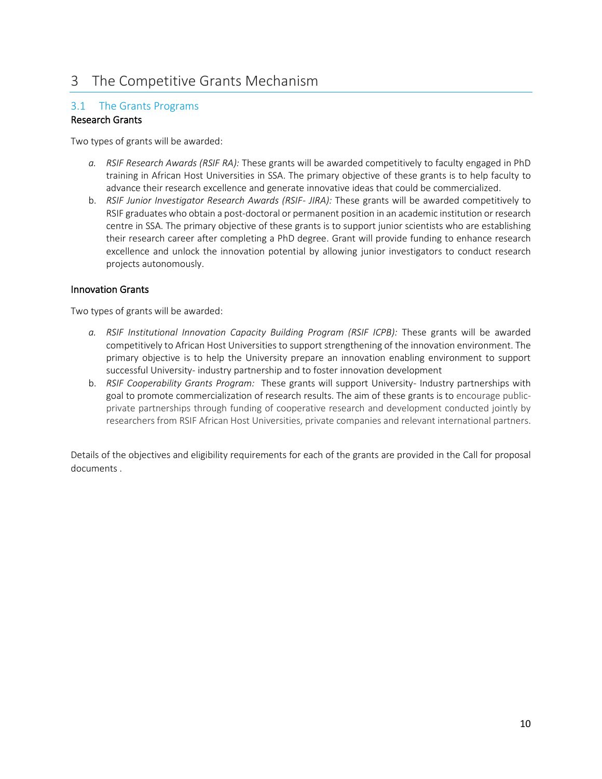# <span id="page-10-0"></span>3 The Competitive Grants Mechanism

# <span id="page-10-1"></span>3.1 The Grants Programs

# Research Grants

Two types of grants will be awarded:

- *a. RSIF Research Awards (RSIF RA):* These grants will be awarded competitively to faculty engaged in PhD training in African Host Universities in SSA. The primary objective of these grants is to help faculty to advance their research excellence and generate innovative ideas that could be commercialized.
- b. *RSIF Junior Investigator Research Awards (RSIF- JIRA):* These grants will be awarded competitively to RSIF graduates who obtain a post-doctoral or permanent position in an academic institution or research centre in SSA. The primary objective of these grants is to support junior scientists who are establishing their research career after completing a PhD degree. Grant will provide funding to enhance research excellence and unlock the innovation potential by allowing junior investigators to conduct research projects autonomously.

### Innovation Grants

Two types of grants will be awarded:

- *a. RSIF Institutional Innovation Capacity Building Program (RSIF ICPB):* These grants will be awarded competitively to African Host Universities to support strengthening of the innovation environment. The primary objective is to help the University prepare an innovation enabling environment to support successful University- industry partnership and to foster innovation development
- b. *RSIF Cooperability Grants Program:* These grants will support University- Industry partnerships with goal to promote commercialization of research results. The aim of these grants is to encourage publicprivate partnerships through funding of cooperative research and development conducted jointly by researchers from RSIF African Host Universities, private companies and relevant international partners.

Details of the objectives and eligibility requirements for each of the grants are provided in the Call for proposal documents .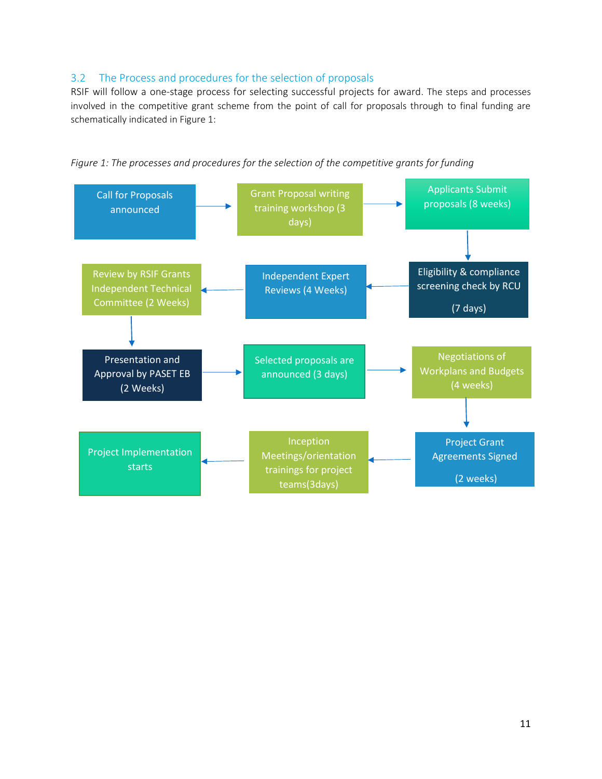# <span id="page-11-0"></span>3.2 The Process and procedures for the selection of proposals

RSIF will follow a one-stage process for selecting successful projects for award. The steps and processes involved in the competitive grant scheme from the point of call for proposals through to final funding are schematically indicated in Figure 1:



*Figure 1: The processes and procedures for the selection of the competitive grants for funding*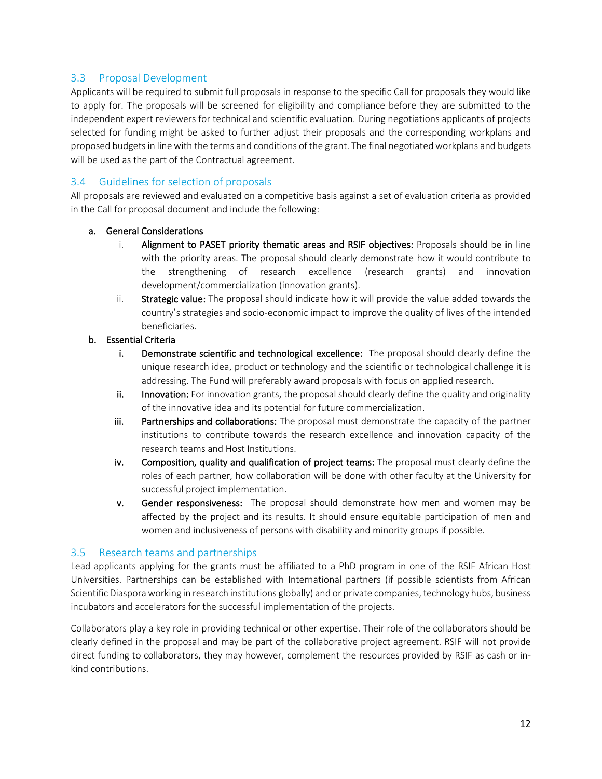# <span id="page-12-0"></span>3.3 Proposal Development

Applicants will be required to submit full proposals in response to the specific Call for proposals they would like to apply for. The proposals will be screened for eligibility and compliance before they are submitted to the independent expert reviewers for technical and scientific evaluation. During negotiations applicants of projects selected for funding might be asked to further adjust their proposals and the corresponding workplans and proposed budgets in line with the terms and conditions of the grant. The final negotiated workplans and budgets will be used as the part of the Contractual agreement.

# <span id="page-12-1"></span>3.4 Guidelines for selection of proposals

All proposals are reviewed and evaluated on a competitive basis against a set of evaluation criteria as provided in the Call for proposal document and include the following:

### a. General Considerations

- i. Alignment to PASET priority thematic areas and RSIF objectives: Proposals should be in line with the priority areas. The proposal should clearly demonstrate how it would contribute to the strengthening of research excellence (research grants) and innovation development/commercialization (innovation grants).
- ii. Strategic value: The proposal should indicate how it will provide the value added towards the country's strategies and socio-economic impact to improve the quality of lives of the intended beneficiaries.

# b. Essential Criteria

- i. Demonstrate scientific and technological excellence: The proposal should clearly define the unique research idea, product or technology and the scientific or technological challenge it is addressing. The Fund will preferably award proposals with focus on applied research.
- ii. Innovation: For innovation grants, the proposal should clearly define the quality and originality of the innovative idea and its potential for future commercialization.
- iii. Partnerships and collaborations: The proposal must demonstrate the capacity of the partner institutions to contribute towards the research excellence and innovation capacity of the research teams and Host Institutions.
- iv. Composition, quality and qualification of project teams: The proposal must clearly define the roles of each partner, how collaboration will be done with other faculty at the University for successful project implementation.
- v. Gender responsiveness: The proposal should demonstrate how men and women may be affected by the project and its results. It should ensure equitable participation of men and women and inclusiveness of persons with disability and minority groups if possible.

### <span id="page-12-2"></span>3.5 Research teams and partnerships

Lead applicants applying for the grants must be affiliated to a PhD program in one of the RSIF African Host Universities. Partnerships can be established with International partners (if possible scientists from African Scientific Diaspora working in research institutions globally) and or private companies, technology hubs, business incubators and accelerators for the successful implementation of the projects.

Collaborators play a key role in providing technical or other expertise. Their role of the collaborators should be clearly defined in the proposal and may be part of the collaborative project agreement. RSIF will not provide direct funding to collaborators, they may however, complement the resources provided by RSIF as cash or inkind contributions.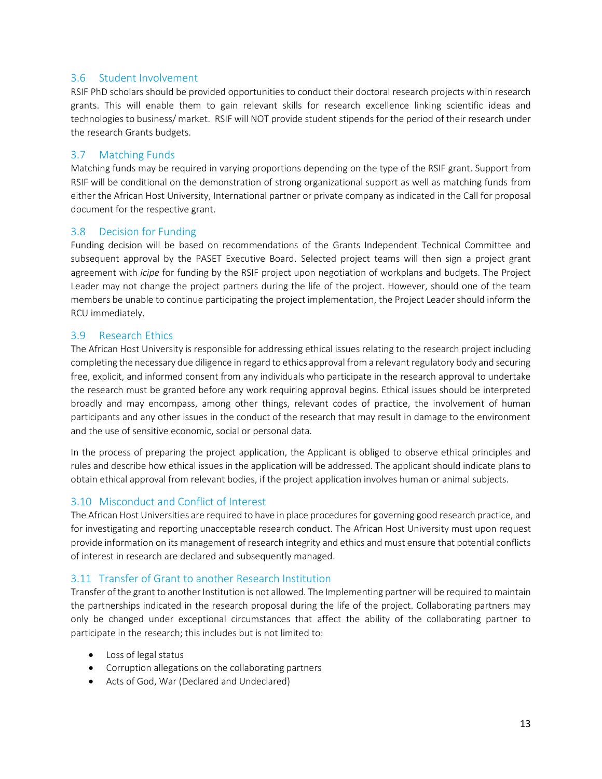# <span id="page-13-0"></span>3.6 Student Involvement

RSIF PhD scholars should be provided opportunities to conduct their doctoral research projects within research grants. This will enable them to gain relevant skills for research excellence linking scientific ideas and technologies to business/ market. RSIF will NOT provide student stipends for the period of their research under the research Grants budgets.

# <span id="page-13-1"></span>3.7 Matching Funds

Matching funds may be required in varying proportions depending on the type of the RSIF grant. Support from RSIF will be conditional on the demonstration of strong organizational support as well as matching funds from either the African Host University, International partner or private company as indicated in the Call for proposal document for the respective grant.

### <span id="page-13-2"></span>3.8 Decision for Funding

Funding decision will be based on recommendations of the Grants Independent Technical Committee and subsequent approval by the PASET Executive Board. Selected project teams will then sign a project grant agreement with *icipe* for funding by the RSIF project upon negotiation of workplans and budgets. The Project Leader may not change the project partners during the life of the project. However, should one of the team members be unable to continue participating the project implementation, the Project Leader should inform the RCU immediately.

# <span id="page-13-3"></span>3.9 Research Ethics

The African Host University is responsible for addressing ethical issues relating to the research project including completing the necessary due diligence in regard to ethics approval from a relevant regulatory body and securing free, explicit, and informed consent from any individuals who participate in the research approval to undertake the research must be granted before any work requiring approval begins. Ethical issues should be interpreted broadly and may encompass, among other things, relevant codes of practice, the involvement of human participants and any other issues in the conduct of the research that may result in damage to the environment and the use of sensitive economic, social or personal data.

In the process of preparing the project application, the Applicant is obliged to observe ethical principles and rules and describe how ethical issues in the application will be addressed. The applicant should indicate plans to obtain ethical approval from relevant bodies, if the project application involves human or animal subjects.

# <span id="page-13-4"></span>3.10 Misconduct and Conflict of Interest

The African Host Universities are required to have in place procedures for governing good research practice, and for investigating and reporting unacceptable research conduct. The African Host University must upon request provide information on its management of research integrity and ethics and must ensure that potential conflicts of interest in research are declared and subsequently managed.

# <span id="page-13-5"></span>3.11 Transfer of Grant to another Research Institution

Transfer of the grant to another Institution is not allowed. The Implementing partnerwill be required to maintain the partnerships indicated in the research proposal during the life of the project. Collaborating partners may only be changed under exceptional circumstances that affect the ability of the collaborating partner to participate in the research; this includes but is not limited to:

- Loss of legal status
- Corruption allegations on the collaborating partners
- Acts of God, War (Declared and Undeclared)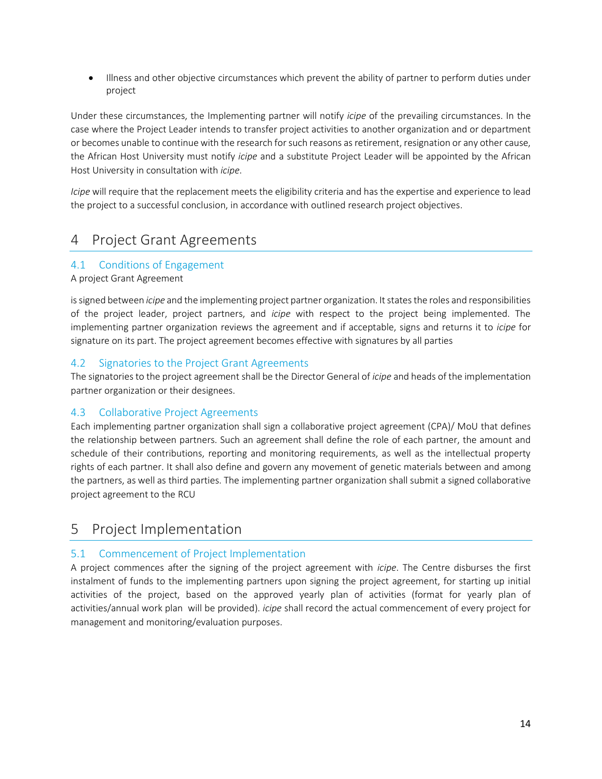• Illness and other objective circumstances which prevent the ability of partner to perform duties under project

Under these circumstances, the Implementing partner will notify *icipe* of the prevailing circumstances. In the case where the Project Leader intends to transfer project activities to another organization and or department or becomes unable to continue with the research for such reasons as retirement, resignation or any other cause, the African Host University must notify *icipe* and a substitute Project Leader will be appointed by the African Host University in consultation with *icipe*.

*Icipe* will require that the replacement meets the eligibility criteria and has the expertise and experience to lead the project to a successful conclusion, in accordance with outlined research project objectives.

# <span id="page-14-0"></span>4 Project Grant Agreements

# <span id="page-14-1"></span>4.1 Conditions of Engagement

A project Grant Agreement

issigned between *icipe* and the implementing project partner organization. It states the roles and responsibilities of the project leader, project partners, and *icipe* with respect to the project being implemented. The implementing partner organization reviews the agreement and if acceptable, signs and returns it to *icipe* for signature on its part. The project agreement becomes effective with signatures by all parties

# <span id="page-14-2"></span>4.2 Signatories to the Project Grant Agreements

The signatories to the project agreement shall be the Director General of *icipe* and heads of the implementation partner organization or their designees.

# <span id="page-14-3"></span>4.3 Collaborative Project Agreements

Each implementing partner organization shall sign a collaborative project agreement (CPA)/ MoU that defines the relationship between partners. Such an agreement shall define the role of each partner, the amount and schedule of their contributions, reporting and monitoring requirements, as well as the intellectual property rights of each partner. It shall also define and govern any movement of genetic materials between and among the partners, as well as third parties. The implementing partner organization shall submit a signed collaborative project agreement to the RCU

# <span id="page-14-4"></span>5 Project Implementation

# <span id="page-14-5"></span>5.1 Commencement of Project Implementation

A project commences after the signing of the project agreement with *icipe*. The Centre disburses the first instalment of funds to the implementing partners upon signing the project agreement, for starting up initial activities of the project, based on the approved yearly plan of activities (format for yearly plan of activities/annual work plan will be provided). *icipe* shall record the actual commencement of every project for management and monitoring/evaluation purposes.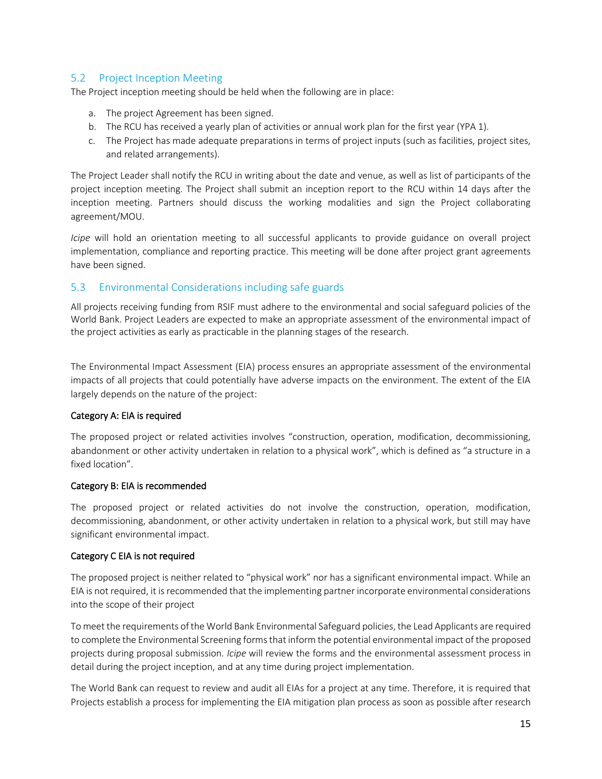# <span id="page-15-0"></span>5.2 Project Inception Meeting

The Project inception meeting should be held when the following are in place:

- a. The project Agreement has been signed.
- b. The RCU has received a yearly plan of activities or annual work plan for the first year (YPA 1).
- c. The Project has made adequate preparations in terms of project inputs (such as facilities, project sites, and related arrangements).

The Project Leader shall notify the RCU in writing about the date and venue, as well as list of participants of the project inception meeting. The Project shall submit an inception report to the RCU within 14 days after the inception meeting. Partners should discuss the working modalities and sign the Project collaborating agreement/MOU.

*Icipe* will hold an orientation meeting to all successful applicants to provide guidance on overall project implementation, compliance and reporting practice. This meeting will be done after project grant agreements have been signed.

### <span id="page-15-1"></span>5.3 Environmental Considerations including safe guards

All projects receiving funding from RSIF must adhere to the environmental and social safeguard policies of the World Bank. Project Leaders are expected to make an appropriate assessment of the environmental impact of the project activities as early as practicable in the planning stages of the research.

The Environmental Impact Assessment (EIA) process ensures an appropriate assessment of the environmental impacts of all projects that could potentially have adverse impacts on the environment. The extent of the EIA largely depends on the nature of the project:

### Category A: EIA is required

The proposed project or related activities involves "construction, operation, modification, decommissioning, abandonment or other activity undertaken in relation to a physical work", which is defined as "a structure in a fixed location".

#### Category B: EIA is recommended

The proposed project or related activities do not involve the construction, operation, modification, decommissioning, abandonment, or other activity undertaken in relation to a physical work, but still may have significant environmental impact.

#### Category C EIA is not required

The proposed project is neither related to "physical work" nor has a significant environmental impact. While an EIA is not required, it is recommended that the implementing partner incorporate environmental considerations into the scope of their project

To meet the requirements of the World Bank Environmental Safeguard policies, the Lead Applicants are required to complete the Environmental Screening forms that inform the potential environmental impact of the proposed projects during proposal submission. *Icipe* will review the forms and the environmental assessment process in detail during the project inception, and at any time during project implementation.

The World Bank can request to review and audit all EIAs for a project at any time. Therefore, it is required that Projects establish a process for implementing the EIA mitigation plan process as soon as possible after research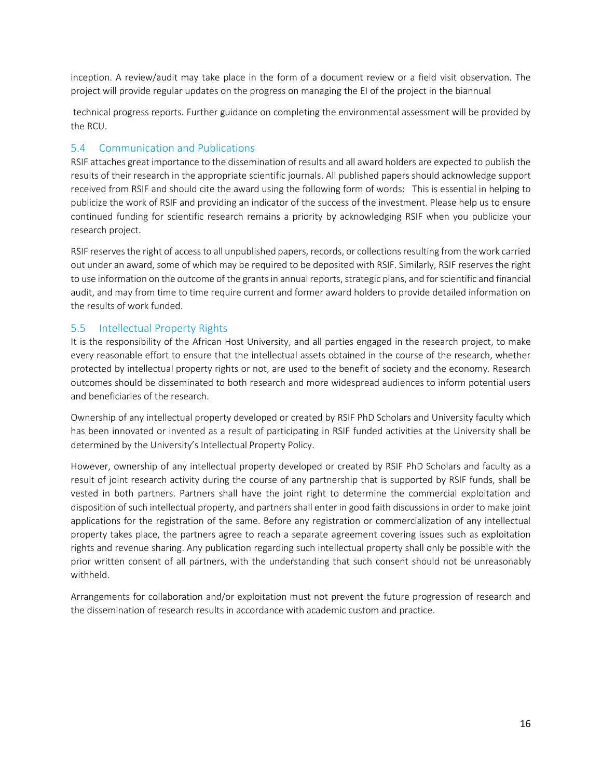inception. A review/audit may take place in the form of a document review or a field visit observation. The project will provide regular updates on the progress on managing the EI of the project in the biannual

technical progress reports. Further guidance on completing the environmental assessment will be provided by the RCU.

# <span id="page-16-0"></span>5.4 Communication and Publications

RSIF attaches great importance to the dissemination of results and all award holders are expected to publish the results of their research in the appropriate scientific journals. All published papers should acknowledge support received from RSIF and should cite the award using the following form of words: This is essential in helping to publicize the work of RSIF and providing an indicator of the success of the investment. Please help us to ensure continued funding for scientific research remains a priority by acknowledging RSIF when you publicize your research project.

RSIF reserves the right of access to all unpublished papers, records, or collections resulting from the work carried out under an award, some of which may be required to be deposited with RSIF. Similarly, RSIF reserves the right to use information on the outcome of the grants in annual reports, strategic plans, and for scientific and financial audit, and may from time to time require current and former award holders to provide detailed information on the results of work funded.

# <span id="page-16-1"></span>5.5 Intellectual Property Rights

It is the responsibility of the African Host University, and all parties engaged in the research project, to make every reasonable effort to ensure that the intellectual assets obtained in the course of the research, whether protected by intellectual property rights or not, are used to the benefit of society and the economy. Research outcomes should be disseminated to both research and more widespread audiences to inform potential users and beneficiaries of the research.

Ownership of any intellectual property developed or created by RSIF PhD Scholars and University faculty which has been innovated or invented as a result of participating in RSIF funded activities at the University shall be determined by the University's Intellectual Property Policy.

However, ownership of any intellectual property developed or created by RSIF PhD Scholars and faculty as a result of joint research activity during the course of any partnership that is supported by RSIF funds, shall be vested in both partners. Partners shall have the joint right to determine the commercial exploitation and disposition of such intellectual property, and partners shall enter in good faith discussions in order to make joint applications for the registration of the same. Before any registration or commercialization of any intellectual property takes place, the partners agree to reach a separate agreement covering issues such as exploitation rights and revenue sharing. Any publication regarding such intellectual property shall only be possible with the prior written consent of all partners, with the understanding that such consent should not be unreasonably withheld.

Arrangements for collaboration and/or exploitation must not prevent the future progression of research and the dissemination of research results in accordance with academic custom and practice.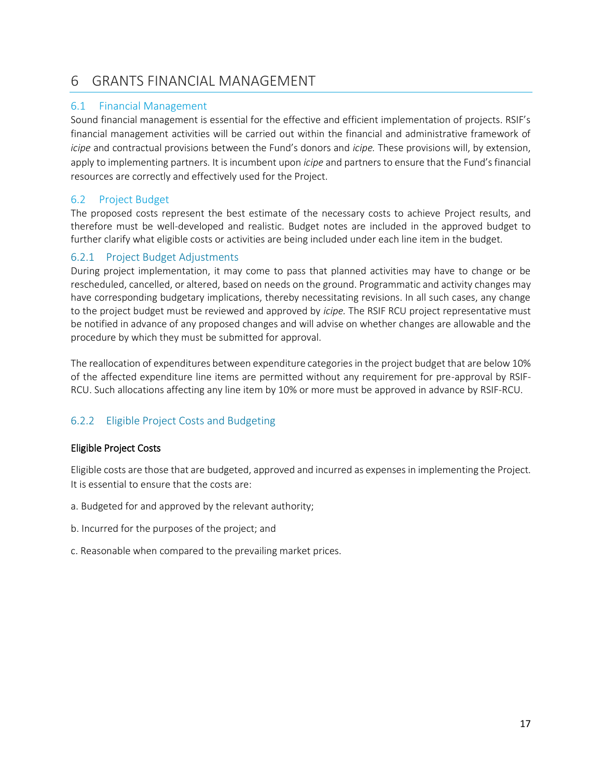# <span id="page-17-0"></span>6 GRANTS FINANCIAL MANAGEMENT

# <span id="page-17-1"></span>6.1 Financial Management

Sound financial management is essential for the effective and efficient implementation of projects. RSIF's financial management activities will be carried out within the financial and administrative framework of *icipe* and contractual provisions between the Fund's donors and *icipe.* These provisions will, by extension, apply to implementing partners. It is incumbent upon *icipe* and partners to ensure that the Fund's financial resources are correctly and effectively used for the Project.

# <span id="page-17-2"></span>6.2 Project Budget

The proposed costs represent the best estimate of the necessary costs to achieve Project results, and therefore must be well-developed and realistic. Budget notes are included in the approved budget to further clarify what eligible costs or activities are being included under each line item in the budget.

# <span id="page-17-3"></span>6.2.1 Project Budget Adjustments

During project implementation, it may come to pass that planned activities may have to change or be rescheduled, cancelled, or altered, based on needs on the ground. Programmatic and activity changes may have corresponding budgetary implications, thereby necessitating revisions. In all such cases, any change to the project budget must be reviewed and approved by *icipe.* The RSIF RCU project representative must be notified in advance of any proposed changes and will advise on whether changes are allowable and the procedure by which they must be submitted for approval.

The reallocation of expenditures between expenditure categories in the project budget that are below 10% of the affected expenditure line items are permitted without any requirement for pre-approval by RSIF-RCU. Such allocations affecting any line item by 10% or more must be approved in advance by RSIF-RCU.

# <span id="page-17-4"></span>6.2.2 Eligible Project Costs and Budgeting

# Eligible Project Costs

Eligible costs are those that are budgeted, approved and incurred as expenses in implementing the Project. It is essential to ensure that the costs are:

- a. Budgeted for and approved by the relevant authority;
- b. Incurred for the purposes of the project; and
- c. Reasonable when compared to the prevailing market prices.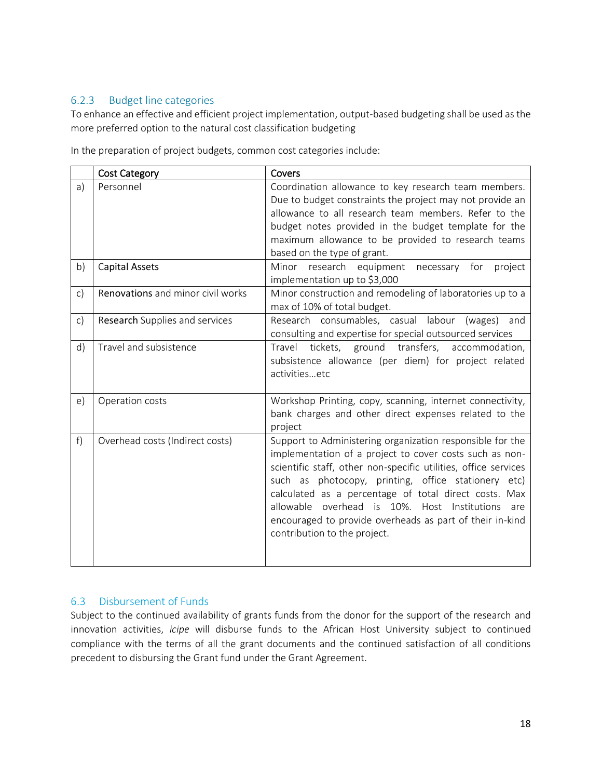# <span id="page-18-0"></span>6.2.3 Budget line categories

To enhance an effective and efficient project implementation, output-based budgeting shall be used as the more preferred option to the natural cost classification budgeting

In the preparation of project budgets, common cost categories include:

|              | <b>Cost Category</b>              | Covers                                                                                                                                                                                                                                                                                                                                                                                                                                                     |
|--------------|-----------------------------------|------------------------------------------------------------------------------------------------------------------------------------------------------------------------------------------------------------------------------------------------------------------------------------------------------------------------------------------------------------------------------------------------------------------------------------------------------------|
| a)           | Personnel                         | Coordination allowance to key research team members.<br>Due to budget constraints the project may not provide an<br>allowance to all research team members. Refer to the<br>budget notes provided in the budget template for the<br>maximum allowance to be provided to research teams<br>based on the type of grant.                                                                                                                                      |
| b)           | Capital Assets                    | Minor<br>research equipment<br>necessary for<br>project<br>implementation up to \$3,000                                                                                                                                                                                                                                                                                                                                                                    |
| $\mathsf{C}$ | Renovations and minor civil works | Minor construction and remodeling of laboratories up to a<br>max of 10% of total budget.                                                                                                                                                                                                                                                                                                                                                                   |
| $\mathsf{C}$ | Research Supplies and services    | Research consumables, casual labour<br>(wages)<br>and<br>consulting and expertise for special outsourced services                                                                                                                                                                                                                                                                                                                                          |
| d)           | Travel and subsistence            | tickets, ground transfers,<br>Travel<br>accommodation,<br>subsistence allowance (per diem) for project related<br>activitiesetc                                                                                                                                                                                                                                                                                                                            |
| e)           | Operation costs                   | Workshop Printing, copy, scanning, internet connectivity,<br>bank charges and other direct expenses related to the<br>project                                                                                                                                                                                                                                                                                                                              |
| f)           | Overhead costs (Indirect costs)   | Support to Administering organization responsible for the<br>implementation of a project to cover costs such as non-<br>scientific staff, other non-specific utilities, office services<br>such as photocopy, printing, office stationery etc)<br>calculated as a percentage of total direct costs. Max<br>allowable overhead is 10%. Host Institutions<br>are<br>encouraged to provide overheads as part of their in-kind<br>contribution to the project. |

# <span id="page-18-1"></span>6.3 Disbursement of Funds

Subject to the continued availability of grants funds from the donor for the support of the research and innovation activities, *icipe* will disburse funds to the African Host University subject to continued compliance with the terms of all the grant documents and the continued satisfaction of all conditions precedent to disbursing the Grant fund under the Grant Agreement.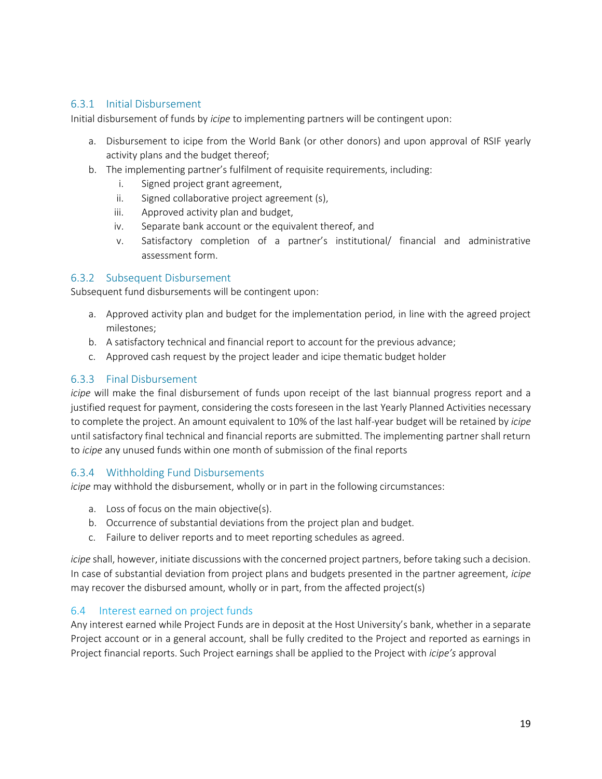# <span id="page-19-0"></span>6.3.1 Initial Disbursement

Initial disbursement of funds by *icipe* to implementing partners will be contingent upon:

- a. Disbursement to icipe from the World Bank (or other donors) and upon approval of RSIF yearly activity plans and the budget thereof;
- b. The implementing partner's fulfilment of requisite requirements, including:
	- i. Signed project grant agreement,
	- ii. Signed collaborative project agreement (s),
	- iii. Approved activity plan and budget,
	- iv. Separate bank account or the equivalent thereof, and
	- v. Satisfactory completion of a partner's institutional/ financial and administrative assessment form.

# <span id="page-19-1"></span>6.3.2 Subsequent Disbursement

Subsequent fund disbursements will be contingent upon:

- a. Approved activity plan and budget for the implementation period, in line with the agreed project milestones;
- b. A satisfactory technical and financial report to account for the previous advance;
- c. Approved cash request by the project leader and icipe thematic budget holder

# <span id="page-19-2"></span>6.3.3 Final Disbursement

*icipe* will make the final disbursement of funds upon receipt of the last biannual progress report and a justified request for payment, considering the costs foreseen in the last Yearly Planned Activities necessary to complete the project. An amount equivalent to 10% of the last half-year budget will be retained by *icipe* until satisfactory final technical and financial reports are submitted. The implementing partner shall return to *icipe* any unused funds within one month of submission of the final reports

### <span id="page-19-3"></span>6.3.4 Withholding Fund Disbursements

*icipe* may withhold the disbursement, wholly or in part in the following circumstances:

- a. Loss of focus on the main objective(s).
- b. Occurrence of substantial deviations from the project plan and budget.
- c. Failure to deliver reports and to meet reporting schedules as agreed.

*icipe* shall, however, initiate discussions with the concerned project partners, before taking such a decision. In case of substantial deviation from project plans and budgets presented in the partner agreement, *icipe* may recover the disbursed amount, wholly or in part, from the affected project(s)

# <span id="page-19-4"></span>6.4 Interest earned on project funds

Any interest earned while Project Funds are in deposit at the Host University's bank, whether in a separate Project account or in a general account, shall be fully credited to the Project and reported as earnings in Project financial reports. Such Project earnings shall be applied to the Project with *icipe's* approval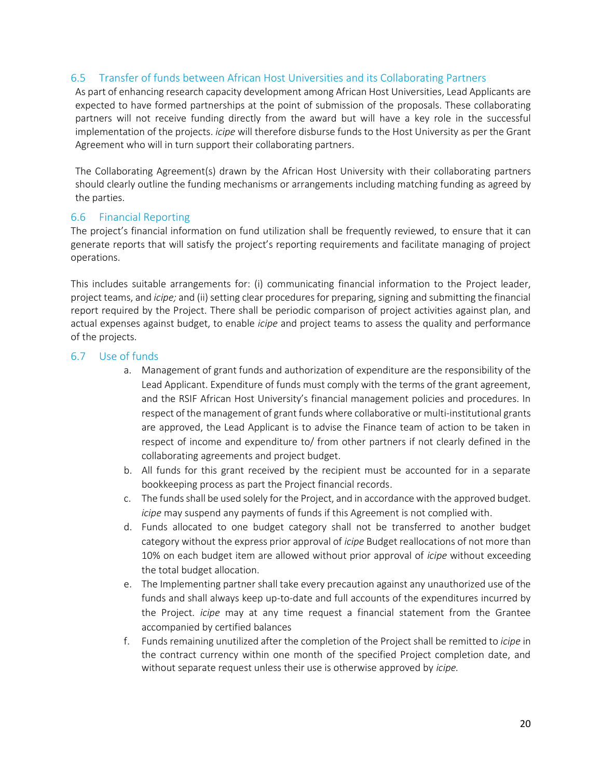# <span id="page-20-0"></span>6.5 Transfer of funds between African Host Universities and its Collaborating Partners

As part of enhancing research capacity development among African Host Universities, Lead Applicants are expected to have formed partnerships at the point of submission of the proposals. These collaborating partners will not receive funding directly from the award but will have a key role in the successful implementation of the projects. *icipe* will therefore disburse funds to the Host University as per the Grant Agreement who will in turn support their collaborating partners.

The Collaborating Agreement(s) drawn by the African Host University with their collaborating partners should clearly outline the funding mechanisms or arrangements including matching funding as agreed by the parties.

# <span id="page-20-1"></span>6.6 Financial Reporting

The project's financial information on fund utilization shall be frequently reviewed, to ensure that it can generate reports that will satisfy the project's reporting requirements and facilitate managing of project operations.

This includes suitable arrangements for: (i) communicating financial information to the Project leader, project teams, and *icipe;* and (ii) setting clear procedures for preparing, signing and submitting the financial report required by the Project. There shall be periodic comparison of project activities against plan, and actual expenses against budget, to enable *icipe* and project teams to assess the quality and performance of the projects.

### <span id="page-20-2"></span>6.7 Use of funds

- a. Management of grant funds and authorization of expenditure are the responsibility of the Lead Applicant. Expenditure of funds must comply with the terms of the grant agreement, and the RSIF African Host University's financial management policies and procedures. In respect of the management of grant funds where collaborative or multi-institutional grants are approved, the Lead Applicant is to advise the Finance team of action to be taken in respect of income and expenditure to/ from other partners if not clearly defined in the collaborating agreements and project budget.
- b. All funds for this grant received by the recipient must be accounted for in a separate bookkeeping process as part the Project financial records.
- c. The funds shall be used solely for the Project, and in accordance with the approved budget. *icipe* may suspend any payments of funds if this Agreement is not complied with.
- d. Funds allocated to one budget category shall not be transferred to another budget category without the express prior approval of *icipe* Budget reallocations of not more than 10% on each budget item are allowed without prior approval of *icipe* without exceeding the total budget allocation.
- e. The Implementing partner shall take every precaution against any unauthorized use of the funds and shall always keep up-to-date and full accounts of the expenditures incurred by the Project. *icipe* may at any time request a financial statement from the Grantee accompanied by certified balances
- f. Funds remaining unutilized after the completion of the Project shall be remitted to *icipe* in the contract currency within one month of the specified Project completion date, and without separate request unless their use is otherwise approved by *icipe.*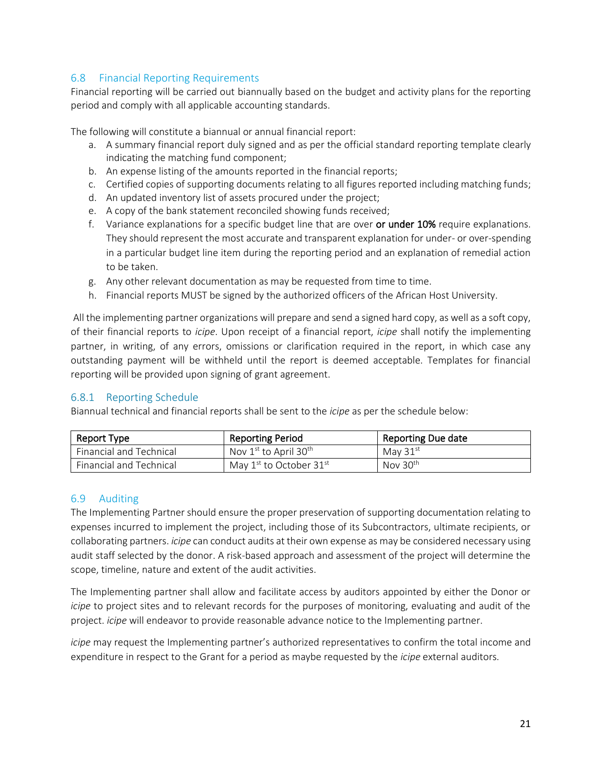# <span id="page-21-0"></span>6.8 Financial Reporting Requirements

Financial reporting will be carried out biannually based on the budget and activity plans for the reporting period and comply with all applicable accounting standards.

The following will constitute a biannual or annual financial report:

- a. A summary financial report duly signed and as per the official standard reporting template clearly indicating the matching fund component;
- b. An expense listing of the amounts reported in the financial reports;
- c. Certified copies of supporting documents relating to all figures reported including matching funds;
- d. An updated inventory list of assets procured under the project;
- e. A copy of the bank statement reconciled showing funds received;
- f. Variance explanations for a specific budget line that are over or under 10% require explanations. They should represent the most accurate and transparent explanation for under- or over-spending in a particular budget line item during the reporting period and an explanation of remedial action to be taken.
- g. Any other relevant documentation as may be requested from time to time.
- h. Financial reports MUST be signed by the authorized officers of the African Host University.

All the implementing partner organizations will prepare and send a signed hard copy, as well as a soft copy, of their financial reports to *icipe*. Upon receipt of a financial report, *icipe* shall notify the implementing partner, in writing, of any errors, omissions or clarification required in the report, in which case any outstanding payment will be withheld until the report is deemed acceptable. Templates for financial reporting will be provided upon signing of grant agreement.

# <span id="page-21-1"></span>6.8.1 Reporting Schedule

Biannual technical and financial reports shall be sent to the *icipe* as per the schedule below:

| Report Type             | <b>Reporting Period</b>                       | Reporting Due date   |
|-------------------------|-----------------------------------------------|----------------------|
| Financial and Technical | Nov $1^{\text{st}}$ to April 30 <sup>th</sup> | May $31st$           |
| Financial and Technical | May 1st to October 31st                       | Nov 30 <sup>th</sup> |

### <span id="page-21-2"></span>6.9 Auditing

The Implementing Partner should ensure the proper preservation of supporting documentation relating to expenses incurred to implement the project, including those of its Subcontractors, ultimate recipients, or collaborating partners. *icipe* can conduct audits at their own expense as may be considered necessary using audit staff selected by the donor. A risk-based approach and assessment of the project will determine the scope, timeline, nature and extent of the audit activities.

The Implementing partner shall allow and facilitate access by auditors appointed by either the Donor or *icipe* to project sites and to relevant records for the purposes of monitoring, evaluating and audit of the project. *icipe* will endeavor to provide reasonable advance notice to the Implementing partner.

*icipe* may request the Implementing partner's authorized representatives to confirm the total income and expenditure in respect to the Grant for a period as maybe requested by the *icipe* external auditors.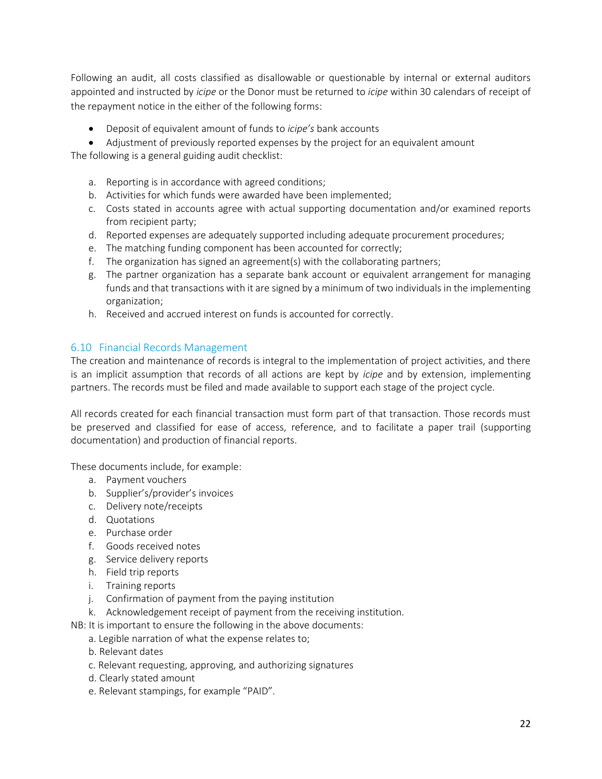Following an audit, all costs classified as disallowable or questionable by internal or external auditors appointed and instructed by *icipe* or the Donor must be returned to *icipe* within 30 calendars of receipt of the repayment notice in the either of the following forms:

- Deposit of equivalent amount of funds to *icipe's* bank accounts
- Adjustment of previously reported expenses by the project for an equivalent amount

The following is a general guiding audit checklist:

- a. Reporting is in accordance with agreed conditions;
- b. Activities for which funds were awarded have been implemented;
- c. Costs stated in accounts agree with actual supporting documentation and/or examined reports from recipient party;
- d. Reported expenses are adequately supported including adequate procurement procedures;
- e. The matching funding component has been accounted for correctly;
- f. The organization has signed an agreement(s) with the collaborating partners;
- g. The partner organization has a separate bank account or equivalent arrangement for managing funds and that transactions with it are signed by a minimum of two individuals in the implementing organization;
- h. Received and accrued interest on funds is accounted for correctly.

# <span id="page-22-0"></span>6.10 Financial Records Management

The creation and maintenance of records is integral to the implementation of project activities, and there is an implicit assumption that records of all actions are kept by *icipe* and by extension, implementing partners. The records must be filed and made available to support each stage of the project cycle.

All records created for each financial transaction must form part of that transaction. Those records must be preserved and classified for ease of access, reference, and to facilitate a paper trail (supporting documentation) and production of financial reports.

These documents include, for example:

- a. Payment vouchers
- b. Supplier's/provider's invoices
- c. Delivery note/receipts
- d. Quotations
- e. Purchase order
- f. Goods received notes
- g. Service delivery reports
- h. Field trip reports
- i. Training reports
- j. Confirmation of payment from the paying institution
- k. Acknowledgement receipt of payment from the receiving institution.
- NB: It is important to ensure the following in the above documents:
	- a. Legible narration of what the expense relates to;
	- b. Relevant dates
	- c. Relevant requesting, approving, and authorizing signatures
	- d. Clearly stated amount
	- e. Relevant stampings, for example "PAID".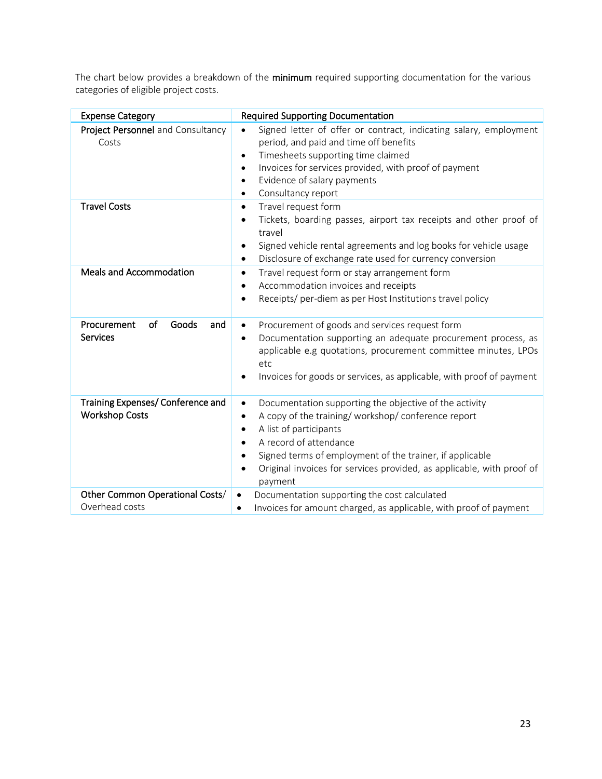The chart below provides a breakdown of the minimum required supporting documentation for the various categories of eligible project costs.

| <b>Expense Category</b>                                    | <b>Required Supporting Documentation</b>                                                                                                                                                                                                                                                                                                                                   |
|------------------------------------------------------------|----------------------------------------------------------------------------------------------------------------------------------------------------------------------------------------------------------------------------------------------------------------------------------------------------------------------------------------------------------------------------|
| Project Personnel and Consultancy<br>Costs                 | Signed letter of offer or contract, indicating salary, employment<br>$\bullet$<br>period, and paid and time off benefits<br>Timesheets supporting time claimed<br>$\bullet$<br>Invoices for services provided, with proof of payment<br>$\bullet$<br>Evidence of salary payments<br>$\bullet$<br>Consultancy report<br>٠                                                   |
| <b>Travel Costs</b>                                        | Travel request form<br>$\bullet$<br>Tickets, boarding passes, airport tax receipts and other proof of<br>$\bullet$<br>travel<br>Signed vehicle rental agreements and log books for vehicle usage<br>٠<br>Disclosure of exchange rate used for currency conversion<br>$\bullet$                                                                                             |
| <b>Meals and Accommodation</b>                             | Travel request form or stay arrangement form<br>$\bullet$<br>Accommodation invoices and receipts<br>Receipts/ per-diem as per Host Institutions travel policy                                                                                                                                                                                                              |
| Procurement<br>of<br>Goods<br>and<br><b>Services</b>       | Procurement of goods and services request form<br>$\bullet$<br>Documentation supporting an adequate procurement process, as<br>$\bullet$<br>applicable e.g quotations, procurement committee minutes, LPOs<br>etc<br>Invoices for goods or services, as applicable, with proof of payment<br>٠                                                                             |
| Training Expenses/ Conference and<br><b>Workshop Costs</b> | Documentation supporting the objective of the activity<br>$\bullet$<br>A copy of the training/ workshop/ conference report<br>$\bullet$<br>A list of participants<br>$\bullet$<br>A record of attendance<br>$\bullet$<br>Signed terms of employment of the trainer, if applicable<br>٠<br>Original invoices for services provided, as applicable, with proof of<br>payment |
| Other Common Operational Costs/<br>Overhead costs          | Documentation supporting the cost calculated<br>$\bullet$<br>Invoices for amount charged, as applicable, with proof of payment<br>$\bullet$                                                                                                                                                                                                                                |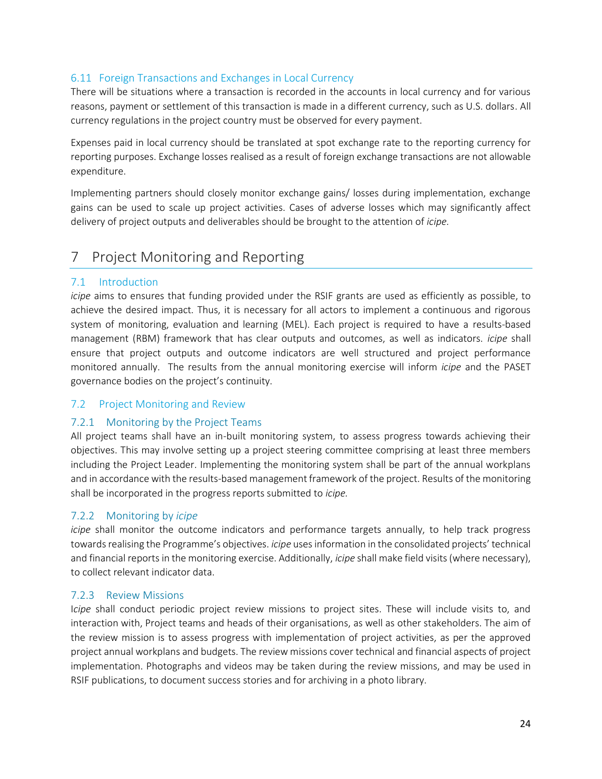# <span id="page-24-0"></span>6.11 Foreign Transactions and Exchanges in Local Currency

There will be situations where a transaction is recorded in the accounts in local currency and for various reasons, payment or settlement of this transaction is made in a different currency, such as U.S. dollars. All currency regulations in the project country must be observed for every payment.

Expenses paid in local currency should be translated at spot exchange rate to the reporting currency for reporting purposes. Exchange losses realised as a result of foreign exchange transactions are not allowable expenditure.

Implementing partners should closely monitor exchange gains/ losses during implementation, exchange gains can be used to scale up project activities. Cases of adverse losses which may significantly affect delivery of project outputs and deliverables should be brought to the attention of *icipe.*

# <span id="page-24-1"></span>7 Project Monitoring and Reporting

# <span id="page-24-2"></span>7.1 Introduction

*icipe* aims to ensures that funding provided under the RSIF grants are used as efficiently as possible, to achieve the desired impact. Thus, it is necessary for all actors to implement a continuous and rigorous system of monitoring, evaluation and learning (MEL). Each project is required to have a results-based management (RBM) framework that has clear outputs and outcomes, as well as indicators. *icipe* shall ensure that project outputs and outcome indicators are well structured and project performance monitored annually. The results from the annual monitoring exercise will inform *icipe* and the PASET governance bodies on the project's continuity.

# <span id="page-24-3"></span>7.2 Project Monitoring and Review

# <span id="page-24-4"></span>7.2.1 Monitoring by the Project Teams

All project teams shall have an in-built monitoring system, to assess progress towards achieving their objectives. This may involve setting up a project steering committee comprising at least three members including the Project Leader. Implementing the monitoring system shall be part of the annual workplans and in accordance with the results-based management framework of the project. Results of the monitoring shall be incorporated in the progress reports submitted to *icipe.*

# <span id="page-24-5"></span>7.2.2 Monitoring by *icipe*

*icipe* shall monitor the outcome indicators and performance targets annually, to help track progress towards realising the Programme's objectives. *icipe* uses information in the consolidated projects' technical and financial reports in the monitoring exercise. Additionally, *icipe* shall make field visits (where necessary), to collect relevant indicator data.

# <span id="page-24-6"></span>7.2.3 Review Missions

I*cipe* shall conduct periodic project review missions to project sites. These will include visits to, and interaction with, Project teams and heads of their organisations, as well as other stakeholders. The aim of the review mission is to assess progress with implementation of project activities, as per the approved project annual workplans and budgets. The review missions cover technical and financial aspects of project implementation. Photographs and videos may be taken during the review missions, and may be used in RSIF publications, to document success stories and for archiving in a photo library.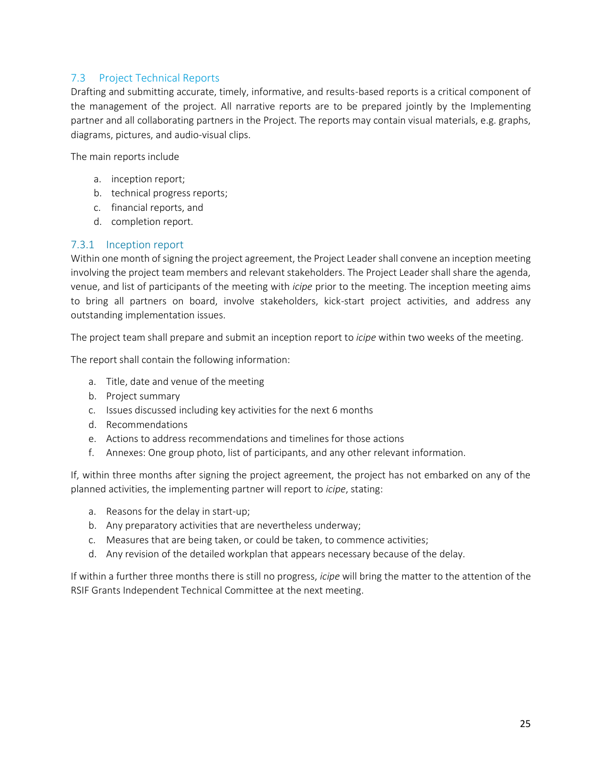# <span id="page-25-0"></span>7.3 Project Technical Reports

Drafting and submitting accurate, timely, informative, and results-based reports is a critical component of the management of the project. All narrative reports are to be prepared jointly by the Implementing partner and all collaborating partners in the Project. The reports may contain visual materials, e.g. graphs, diagrams, pictures, and audio-visual clips.

The main reports include

- a. inception report;
- b. technical progress reports;
- c. financial reports, and
- d. completion report.

# <span id="page-25-1"></span>7.3.1 Inception report

Within one month of signing the project agreement, the Project Leader shall convene an inception meeting involving the project team members and relevant stakeholders. The Project Leader shall share the agenda, venue, and list of participants of the meeting with *icipe* prior to the meeting. The inception meeting aims to bring all partners on board, involve stakeholders, kick-start project activities, and address any outstanding implementation issues.

The project team shall prepare and submit an inception report to *icipe* within two weeks of the meeting.

The report shall contain the following information:

- a. Title, date and venue of the meeting
- b. Project summary
- c. Issues discussed including key activities for the next 6 months
- d. Recommendations
- e. Actions to address recommendations and timelines for those actions
- f. Annexes: One group photo, list of participants, and any other relevant information.

If, within three months after signing the project agreement, the project has not embarked on any of the planned activities, the implementing partner will report to *icipe*, stating:

- a. Reasons for the delay in start-up;
- b. Any preparatory activities that are nevertheless underway;
- c. Measures that are being taken, or could be taken, to commence activities;
- d. Any revision of the detailed workplan that appears necessary because of the delay.

If within a further three months there is still no progress, *icipe* will bring the matter to the attention of the RSIF Grants Independent Technical Committee at the next meeting.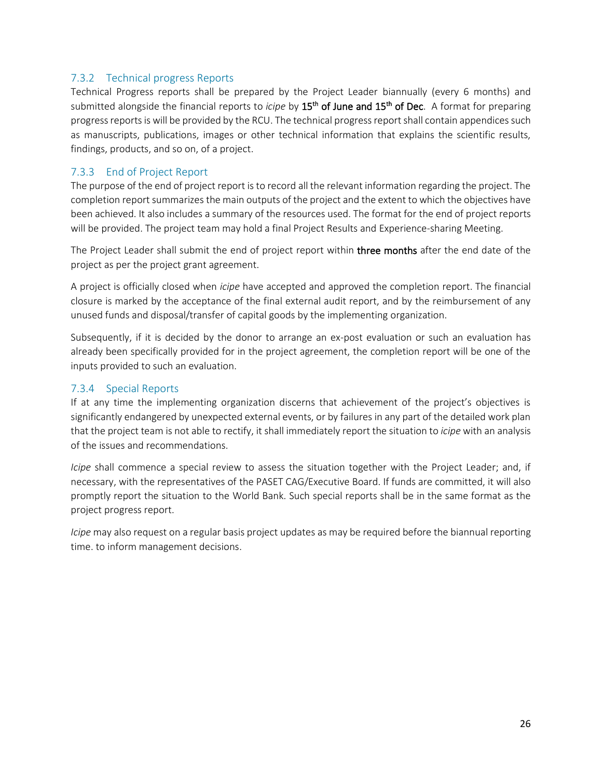# <span id="page-26-0"></span>7.3.2 Technical progress Reports

Technical Progress reports shall be prepared by the Project Leader biannually (every 6 months) and submitted alongside the financial reports to *icipe* by 15<sup>th</sup> of June and 15<sup>th</sup> of Dec. A format for preparing progress reports is will be provided by the RCU. The technical progress report shall contain appendices such as manuscripts, publications, images or other technical information that explains the scientific results, findings, products, and so on, of a project.

# <span id="page-26-1"></span>7.3.3 End of Project Report

The purpose of the end of project report is to record all the relevant information regarding the project. The completion report summarizes the main outputs of the project and the extent to which the objectives have been achieved. It also includes a summary of the resources used. The format for the end of project reports will be provided. The project team may hold a final Project Results and Experience-sharing Meeting.

The Project Leader shall submit the end of project report within three months after the end date of the project as per the project grant agreement.

A project is officially closed when *icipe* have accepted and approved the completion report. The financial closure is marked by the acceptance of the final external audit report, and by the reimbursement of any unused funds and disposal/transfer of capital goods by the implementing organization.

Subsequently, if it is decided by the donor to arrange an ex-post evaluation or such an evaluation has already been specifically provided for in the project agreement, the completion report will be one of the inputs provided to such an evaluation.

# <span id="page-26-2"></span>7.3.4 Special Reports

If at any time the implementing organization discerns that achievement of the project's objectives is significantly endangered by unexpected external events, or by failures in any part of the detailed work plan that the project team is not able to rectify, it shall immediately report the situation to *icipe* with an analysis of the issues and recommendations.

*Icipe* shall commence a special review to assess the situation together with the Project Leader; and, if necessary, with the representatives of the PASET CAG/Executive Board. If funds are committed, it will also promptly report the situation to the World Bank. Such special reports shall be in the same format as the project progress report.

*Icipe* may also request on a regular basis project updates as may be required before the biannual reporting time. to inform management decisions.